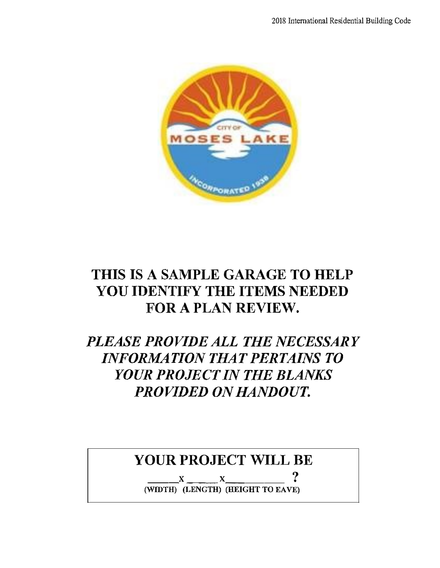

## **THIS IS A SAMPLE GARAGE TO HELP YOU IDENTIFY THE ITEMS NEEDED FOR A PLAN REVIEW.**

*PLEASE PROVIDE ALL THE NECESSARY INFORMATION THAT PERTAINS TO YOUR PROJECT IN THE BLANKS PROVIDED ON HANDOUT.* 

## **YOUR PROJECT WILL BE**

 $\mathbf{x}$   $\mathbf{x}$   $\mathbf{x}$  ? **(WIDTH) (LENGTH) (lillIGHT TO EAVE)**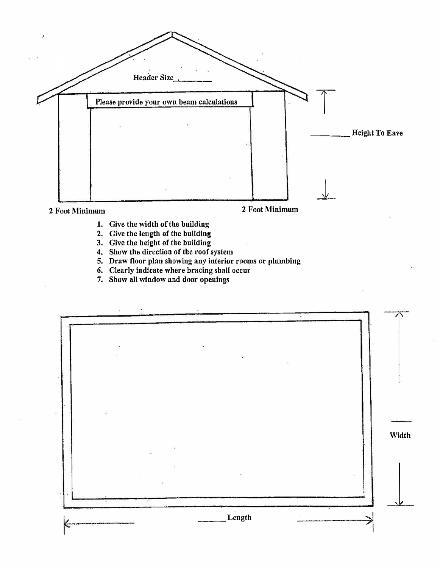

**2 Foot Minimum 2 Foot Minimum**

- **1. Give the width of the building**
- **2. Give the length of the building**
- **3. Give the height of the building**
- **4. Show the direction of the roof system**
- **5. Draw floor plan showing any interior rooms or plumbing**
- **6. Clearly indicate where bracing shall occur**
- **7. Show all window and door openings**